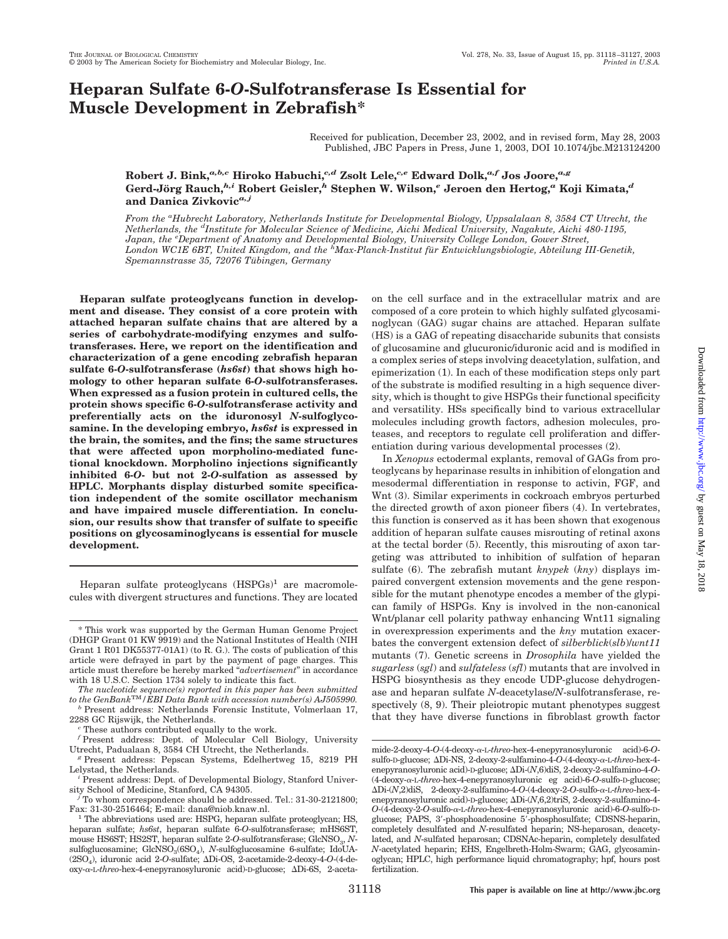# **Heparan Sulfate 6-***O***-Sulfotransferase Is Essential for Muscle Development in Zebrafish\***

Received for publication, December 23, 2002, and in revised form, May 28, 2003 Published, JBC Papers in Press, June 1, 2003, DOI 10.1074/jbc.M213124200

**Robert J. Bink,***a,b,c* **Hiroko Habuchi,***c,d* **Zsolt Lele,***c,e* **Edward Dolk,***a,f* **Jos Joore,***a,g* **Gerd-Jo¨rg Rauch,***h,i* **Robert Geisler,***<sup>h</sup>* **Stephen W. Wilson,***<sup>e</sup>* **Jeroen den Hertog,***<sup>a</sup>* **Koji Kimata,***<sup>d</sup>* **and Danica Zivkovic***a, j*

*From the <sup>a</sup> Hubrecht Laboratory, Netherlands Institute for Developmental Biology, Uppsalalaan 8, 3584 CT Utrecht, the Netherlands, the <sup>d</sup> Institute for Molecular Science of Medicine, Aichi Medical University, Nagakute, Aichi 480-1195, Japan, the <sup>e</sup> Department of Anatomy and Developmental Biology, University College London, Gower Street, London WC1E 6BT, United Kingdom, and the <sup>h</sup> Max-Planck-Institut fu¨r Entwicklungsbiologie, Abteilung III-Genetik,* Spemannstrasse 35, 72076 Tübingen, Germany

**Heparan sulfate proteoglycans function in development and disease. They consist of a core protein with attached heparan sulfate chains that are altered by a series of carbohydrate-modifying enzymes and sulfotransferases. Here, we report on the identification and characterization of a gene encoding zebrafish heparan sulfate 6-***O***-sulfotransferase (***hs6st***) that shows high homology to other heparan sulfate 6-***O***-sulfotransferases. When expressed as a fusion protein in cultured cells, the protein shows specific 6-***O***-sulfotransferase activity and preferentially acts on the iduronosyl** *N***-sulfoglycosamine. In the developing embryo,** *hs6st* **is expressed in the brain, the somites, and the fins; the same structures that were affected upon morpholino-mediated functional knockdown. Morpholino injections significantly inhibited 6-***O***- but not 2-***O***-sulfation as assessed by HPLC. Morphants display disturbed somite specification independent of the somite oscillator mechanism and have impaired muscle differentiation. In conclusion, our results show that transfer of sulfate to specific positions on glycosaminoglycans is essential for muscle development.**

Heparan sulfate proteoglycans  $(HSPGs)^1$  are macromolecules with divergent structures and functions. They are located

*The nucleotide sequence(s) reported in this paper has been submitted*

<sup>*b*</sup> Present address: Netherlands Forensic Institute, Volmerlaan 17, 2288 GC Rijswijk, the Netherlands.

on the cell surface and in the extracellular matrix and are composed of a core protein to which highly sulfated glycosaminoglycan (GAG) sugar chains are attached. Heparan sulfate (HS) is a GAG of repeating disaccharide subunits that consists of glucosamine and glucuronic/iduronic acid and is modified in a complex series of steps involving deacetylation, sulfation, and epimerization (1). In each of these modification steps only part of the substrate is modified resulting in a high sequence diversity, which is thought to give HSPGs their functional specificity and versatility. HSs specifically bind to various extracellular molecules including growth factors, adhesion molecules, proteases, and receptors to regulate cell proliferation and differentiation during various developmental processes (2).

In *Xenopus* ectodermal explants, removal of GAGs from proteoglycans by heparinase results in inhibition of elongation and mesodermal differentiation in response to activin, FGF, and Wnt (3). Similar experiments in cockroach embryos perturbed the directed growth of axon pioneer fibers (4). In vertebrates, this function is conserved as it has been shown that exogenous addition of heparan sulfate causes misrouting of retinal axons at the tectal border (5). Recently, this misrouting of axon targeting was attributed to inhibition of sulfation of heparan sulfate (6). The zebrafish mutant *knypek* (*kny*) displays impaired convergent extension movements and the gene responsible for the mutant phenotype encodes a member of the glypican family of HSPGs. Kny is involved in the non-canonical Wnt/planar cell polarity pathway enhancing Wnt11 signaling in overexpression experiments and the *kny* mutation exacerbates the convergent extension defect of *silberblick*(*slb*)/*wnt11* mutants (7). Genetic screens in *Drosophila* have yielded the *sugarless* (*sgl*) and *sulfateless* (*sfl*) mutants that are involved in HSPG biosynthesis as they encode UDP-glucose dehydrogenase and heparan sulfate *N*-deacetylase/*N*-sulfotransferase, respectively  $(8, 9)$ . Their pleiotropic mutant phenotypes suggest that they have diverse functions in fibroblast growth factor

<sup>\*</sup> This work was supported by the German Human Genome Project (DHGP Grant 01 KW 9919) and the National Institutes of Health (NIH Grant 1 R01 DK55377-01A1) (to R. G.). The costs of publication of this article were defrayed in part by the payment of page charges. This article must therefore be hereby marked "*advertisement*" in accordance with 18 U.S.C. Section 1734 solely to indicate this fact.

<sup>&</sup>lt;sup>c</sup> These authors contributed equally to the work.

 $^f$  Present address: Dept. of Molecular Cell Biology, University Utrecht, Padualaan 8, 3584 CH Utrecht, the Netherlands.

<sup>&</sup>lt;sup>g</sup> Present address: Pepscan Systems, Edelhertweg 15, 8219 PH Lelystad, the Netherlands.

Present address: Dept. of Developmental Biology, Stanford Univer-

sity School of Medicine, Stanford, CA 94305. *<sup>j</sup>* To whom correspondence should be addressed. Tel.: 31-30-2121800;

The abbreviations used are: HSPG, heparan sulfate proteoglycan; HS, heparan sulfate; *hs6st*, heparan sulfate 6-*O*-sulfotransferase; mHS6ST, mouse HS6ST; HS2ST, heparan sulfate 2-O-sulfotransferase; GlcNSO<sub>3</sub>, Nsulfoglucosamine; GlcNSO<sub>3</sub>(6SO<sub>4</sub>), *N*-sulfoglucosamine 6-sulfate; IdoUA-(2SO4), iduronic acid 2-*O*-sulfate; Di-OS, 2-acetamide-2-deoxy-4-*O*-(4-deoxy-α-L-threo-hex-4-enepyranosyluronic acid)-D-glucose; ΔDi-6S, 2-aceta-

mide-2-deoxy-4-*O*-(4-deoxy-α-L-threo-hex-4-enepyranosyluronic acid)-6-*O*sulfo-D-glucose; ΔDi-NS, 2-deoxy-2-sulfamino-4-*O*-(4-deoxy-α-L-*threo*-hex-4enepyranosyluronic acid)-D-glucose; Di-(*N*,6)diS, 2-deoxy-2-sulfamino-4-*O*-  $\label{eq:q_dde}$  (4-deoxy- $\alpha$ -L-threo-hex-4-enepyranosyluronic eg acid)-6-O-sulfo-D-glucose; Di-(*N*,2)diS, 2-deoxy-2-sulfamino-4-*O*-(4-deoxy-2-*O*-sulfo--L-*threo*-hex-4 enepyranosyluronic acid)-D-glucose; Di-(*N*,6,2)triS, 2-deoxy-2-sulfamino-4- *O*-(4-deoxy-2-*O*-sulfo--L-*threo*-hex-4-enepyranosyluronic acid)-6-*O*-sulfo-Dglucose; PAPS, 3'-phosphoadenosine 5'-phosphosulfate; CDSNS-heparin, completely desulfated and *N*-resulfated heparin; NS-heparosan, deacetylated, and *N*-sulfated heparosan; CDSNAc-heparin, completely desulfated *N*-acetylated heparin; EHS, Engelbreth-Holm-Swarm; GAG, glycosaminoglycan; HPLC, high performance liquid chromatography; hpf, hours post fertilization.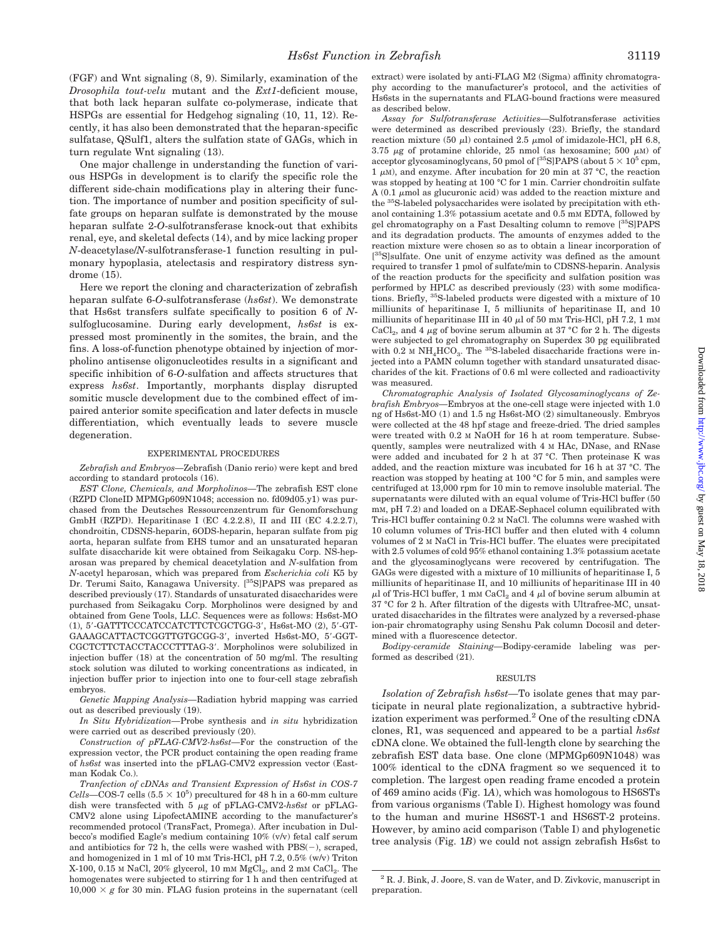(FGF) and Wnt signaling (8, 9). Similarly, examination of the *Drosophila tout-velu* mutant and the *Ext1*-deficient mouse, that both lack heparan sulfate co-polymerase, indicate that HSPGs are essential for Hedgehog signaling (10, 11, 12). Recently, it has also been demonstrated that the heparan-specific sulfatase, QSulf1, alters the sulfation state of GAGs, which in turn regulate Wnt signaling (13).

One major challenge in understanding the function of various HSPGs in development is to clarify the specific role the different side-chain modifications play in altering their function. The importance of number and position specificity of sulfate groups on heparan sulfate is demonstrated by the mouse heparan sulfate 2-*O*-sulfotransferase knock-out that exhibits renal, eye, and skeletal defects (14), and by mice lacking proper *N*-deacetylase/*N*-sulfotransferase-1 function resulting in pulmonary hypoplasia, atelectasis and respiratory distress syndrome (15).

Here we report the cloning and characterization of zebrafish heparan sulfate 6-*O*-sulfotransferase (*hs6st*). We demonstrate that Hs6st transfers sulfate specifically to position 6 of *N*sulfoglucosamine. During early development, *hs6st* is expressed most prominently in the somites, the brain, and the fins. A loss-of-function phenotype obtained by injection of morpholino antisense oligonucleotides results in a significant and specific inhibition of 6-*O*-sulfation and affects structures that express *hs6st*. Importantly, morphants display disrupted somitic muscle development due to the combined effect of impaired anterior somite specification and later defects in muscle differentiation, which eventually leads to severe muscle degeneration.

#### EXPERIMENTAL PROCEDURES

*Zebrafish and Embryos—*Zebrafish (Danio rerio) were kept and bred according to standard protocols (16).

*EST Clone, Chemicals, and Morpholinos—*The zebrafish EST clone (RZPD CloneID MPMGp609N1048; accession no. fd09d05.y1) was purchased from the Deutsches Ressourcenzentrum für Genomforschung GmbH (RZPD). Heparitinase I (EC 4.2.2.8), II and III (EC 4.2.2.7), chondroitin, CDSNS-heparin, 6ODS-heparin, heparan sulfate from pig aorta, heparan sulfate from EHS tumor and an unsaturated heparan sulfate disaccharide kit were obtained from Seikagaku Corp. NS-heparosan was prepared by chemical deacetylation and *N*-sulfation from *N*-acetyl heparosan, which was prepared from *Escherichia coli* K5 by Dr. Terumi Saito, Kanagawa University. [<sup>35</sup>S]PAPS was prepared as described previously (17). Standards of unsaturated disaccharides were purchased from Seikagaku Corp. Morpholinos were designed by and obtained from Gene Tools, LLC. Sequences were as follows: Hs6st-MO (1), 5'-GATTTCCCATCCATCTTCTCGCTGG-3', Hs6st-MO (2), 5'-GT-GAAAGCATTACTCGGTTGTGCGG-3', inverted Hs6st-MO, 5'-GGT-CGCTCTTCTACCTACCCTTTAG-3'. Morpholinos were solubilized in injection buffer (18) at the concentration of 50 mg/ml. The resulting stock solution was diluted to working concentrations as indicated, in injection buffer prior to injection into one to four-cell stage zebrafish embryos.

*Genetic Mapping Analysis—*Radiation hybrid mapping was carried out as described previously (19).

*In Situ Hybridization—*Probe synthesis and *in situ* hybridization were carried out as described previously (20).

*Construction of pFLAG-CMV2-hs6st—*For the construction of the expression vector, the PCR product containing the open reading frame of *hs6st* was inserted into the pFLAG-CMV2 expression vector (Eastman  $K$ odak  $Co$ ).

*Tranfection of cDNAs and Transient Expression of Hs6st in COS-7*  $Cells$ —COS-7 cells  $(5.5 \times 10^5)$  precultured for 48 h in a 60-mm culture dish were transfected with 5  $\mu$ g of pFLAG-CMV2-hs6st or pFLAG-CMV2 alone using LipofectAMINE according to the manufacturer's recommended protocol (TransFact, Promega). After incubation in Dulbecco's modified Eagle's medium containing 10% (v/v) fetal calf serum and antibiotics for 72 h, the cells were washed with  $PBS(-)$ , scraped, and homogenized in 1 ml of 10 mM Tris-HCl, pH 7.2, 0.5% (w/v) Triton X-100, 0.15 M NaCl, 20% glycerol, 10 mM  $MgCl<sub>2</sub>$ , and 2 mM  $CaCl<sub>2</sub>$ . The homogenates were subjected to stirring for 1 h and then centrifuged at  $10,000 \times g$  for 30 min. FLAG fusion proteins in the supernatant (cell extract) were isolated by anti-FLAG M2 (Sigma) affinity chromatography according to the manufacturer's protocol, and the activities of Hs6sts in the supernatants and FLAG-bound fractions were measured as described below.

*Assay for Sulfotransferase Activities—*Sulfotransferase activities were determined as described previously (23). Briefly, the standard reaction mixture (50  $\mu$ l) contained 2.5  $\mu$ mol of imidazole-HCl, pH 6.8, 3.75  $\mu$ g of protamine chloride, 25 nmol (as hexosamine; 500  $\mu$ M) of acceptor glycosaminoglycans, 50 pmol of  $[^{35}{\rm S}]$  PAPS (about 5  $\times$   $10^5$  cpm,  $1 \mu$ M), and enzyme. After incubation for 20 min at 37 °C, the reaction was stopped by heating at 100 °C for 1 min. Carrier chondroitin sulfate  $A(0.1 \mu \text{mol as }$  glucuronic acid) was added to the reaction mixture and the 35S-labeled polysaccharides were isolated by precipitation with ethanol containing 1.3% potassium acetate and 0.5 mM EDTA, followed by gel chromatography on a Fast Desalting column to remove [35S]PAPS and its degradation products. The amounts of enzymes added to the reaction mixture were chosen so as to obtain a linear incorporation of [<sup>35</sup>S]sulfate. One unit of enzyme activity was defined as the amount required to transfer 1 pmol of sulfate/min to CDSNS-heparin. Analysis of the reaction products for the specificity and sulfation position was performed by HPLC as described previously (23) with some modifications. Briefly, 35S-labeled products were digested with a mixture of 10 milliunits of heparitinase I, 5 milliunits of heparitinase II, and 10 milliunits of heparitinase III in 40  $\mu$ l of 50 mm Tris-HCl, pH 7.2, 1 mm CaCl<sub>2</sub>, and 4  $\mu$ g of bovine serum albumin at 37 °C for 2 h. The digests were subjected to gel chromatography on Superdex 30 pg equilibrated with 0.2 M  $NH_4HCO_3$ . The <sup>35</sup>S-labeled disaccharide fractions were injected into a PAMN column together with standard unsaturated disaccharides of the kit. Fractions of 0.6 ml were collected and radioactivity was measured.

*Chromatographic Analysis of Isolated Glycosaminoglycans of Zebrafish Embryos—*Embryos at the one-cell stage were injected with 1.0 ng of Hs6st-MO (1) and 1.5 ng Hs6st-MO (2) simultaneously. Embryos were collected at the 48 hpf stage and freeze-dried. The dried samples were treated with 0.2 M NaOH for 16 h at room temperature. Subsequently, samples were neutralized with 4 M HAc, DNase, and RNase were added and incubated for 2 h at 37 °C. Then proteinase K was added, and the reaction mixture was incubated for 16 h at 37 °C. The reaction was stopped by heating at 100 °C for 5 min, and samples were centrifuged at 13,000 rpm for 10 min to remove insoluble material. The supernatants were diluted with an equal volume of Tris-HCl buffer (50 mM, pH 7.2) and loaded on a DEAE-Sephacel column equilibrated with Tris-HCl buffer containing 0.2 M NaCl. The columns were washed with 10 column volumes of Tris-HCl buffer and then eluted with 4 column volumes of 2 M NaCl in Tris-HCl buffer. The eluates were precipitated with 2.5 volumes of cold 95% ethanol containing 1.3% potassium acetate and the glycosaminoglycans were recovered by centrifugation. The GAGs were digested with a mixture of 10 milliunits of heparitinase I, 5 milliunits of heparitinase II, and 10 milliunits of heparitinase III in 40  $\mu$ l of Tris-HCl buffer, 1 mm CaCl $_2$  and 4  $\mu$ l of bovine serum albumin at 37 °C for 2 h. After filtration of the digests with Ultrafree-MC, unsaturated disaccharides in the filtrates were analyzed by a reversed-phase ion-pair chromatography using Senshu Pak column Docosil and determined with a fluorescence detector.

*Bodipy-ceramide Staining—*Bodipy-ceramide labeling was performed as described (21).

#### RESULTS

*Isolation of Zebrafish hs6st—*To isolate genes that may participate in neural plate regionalization, a subtractive hybridization experiment was performed.<sup>2</sup> One of the resulting cDNA clones, R1, was sequenced and appeared to be a partial *hs6st* cDNA clone. We obtained the full-length clone by searching the zebrafish EST data base. One clone (MPMGp609N1048) was 100% identical to the cDNA fragment so we sequenced it to completion. The largest open reading frame encoded a protein of 469 amino acids (Fig. 1*A*), which was homologous to HS6STs from various organisms (Table I). Highest homology was found to the human and murine HS6ST-1 and HS6ST-2 proteins. However, by amino acid comparison (Table I) and phylogenetic tree analysis (Fig. 1*B*) we could not assign zebrafish Hs6st to

<sup>2</sup> R. J. Bink, J. Joore, S. van de Water, and D. Zivkovic, manuscript in preparation.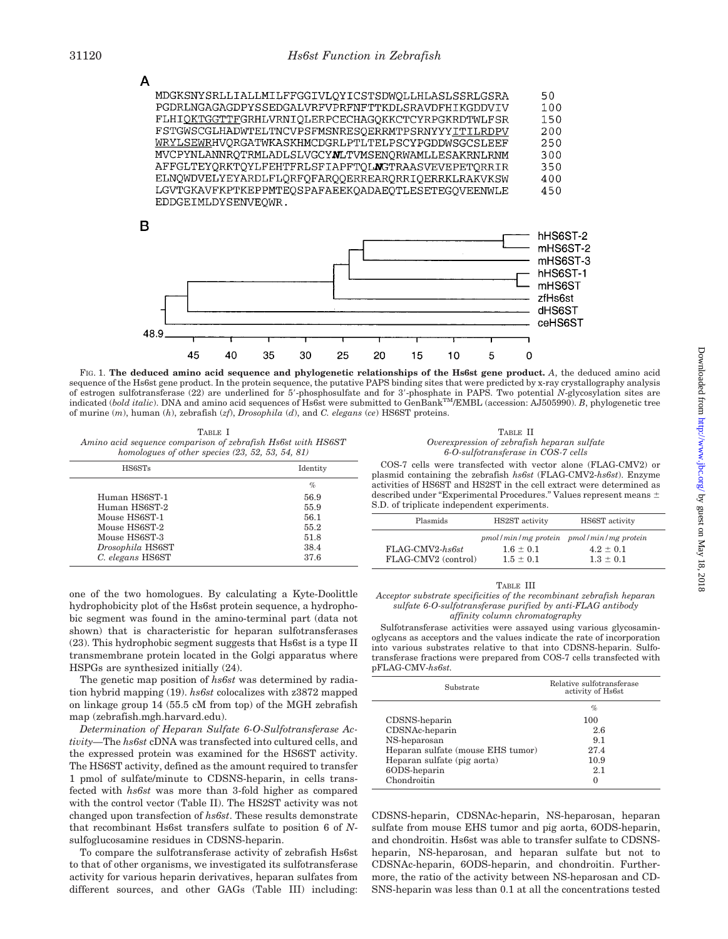

FIG. 1. **The deduced amino acid sequence and phylogenetic relationships of the Hs6st gene product.** *A*, the deduced amino acid sequence of the Hs6st gene product. In the protein sequence, the putative PAPS binding sites that were predicted by x-ray crystallography analysis of estrogen sulfotransferase (22) are underlined for 5'-phosphosulfate and for 3'-phosphate in PAPS. Two potential *N*-glycosylation sites are indicated (*bold italic*). DNA and amino acid sequences of Hs6st were submitted to GenBankTM/EMBL (accession: AJ505990). *B*, phylogenetic tree of murine (*m*), human (*h*), zebrafish (*zf*), *Drosophila* (*d*), and *C. elegans* (*ce*) HS6ST proteins.

*%*

TABLE I *Amino acid sequence comparison of zebrafish Hs6st with HS6ST homologues of other species (23, 52, 53, 54, 81)*

Human HS6ST-1 56.9 Human HS6ST-2 55.9 Mouse HS6ST-1 56.1<br>Mouse HS6ST-2 55.2

Mouse HS6ST-3 51.8 *Drosophila* HS6ST 38.4<br> *C. elegans* HS6ST 37.6

Mouse HS6ST-2

*C. elegans* HS6ST 37.6

HS6STs Identity

|                                             | TABLE II                            |  |
|---------------------------------------------|-------------------------------------|--|
| Overexpression of zebrafish heparan sulfate |                                     |  |
|                                             | 6-O-sulfotransferase in COS-7 cells |  |

COS-7 cells were transfected with vector alone (FLAG-CMV2) or plasmid containing the zebrafish *hs6st* (FLAG-CMV2-*hs6st*). Enzyme activities of HS6ST and HS2ST in the cell extract were determined as described under "Experimental Procedures." Values represent means S.D. of triplicate independent experiments.

| Plasmids                               | HS2ST activity                 | HS6ST activity                                                          |
|----------------------------------------|--------------------------------|-------------------------------------------------------------------------|
| FLAG-CMV2-hs6st<br>FLAG-CMV2 (control) | $1.6 \pm 0.1$<br>$1.5 \pm 0.1$ | pmol/min/mg protein pmol/min/mg protein<br>$4.2 + 0.1$<br>$1.3 \pm 0.1$ |

one of the two homologues. By calculating a Kyte-Doolittle hydrophobicity plot of the Hs6st protein sequence, a hydrophobic segment was found in the amino-terminal part (data not shown) that is characteristic for heparan sulfotransferases (23). This hydrophobic segment suggests that Hs6st is a type II transmembrane protein located in the Golgi apparatus where HSPGs are synthesized initially (24).

The genetic map position of *hs6st* was determined by radiation hybrid mapping (19). *hs6st* colocalizes with z3872 mapped on linkage group 14 (55.5 cM from top) of the MGH zebrafish map (zebrafish.mgh.harvard.edu).

*Determination of Heparan Sulfate 6-O-Sulfotransferase Activity—*The *hs6st* cDNA was transfected into cultured cells, and the expressed protein was examined for the HS6ST activity. The HS6ST activity, defined as the amount required to transfer 1 pmol of sulfate/minute to CDSNS-heparin, in cells transfected with *hs6st* was more than 3-fold higher as compared with the control vector (Table II). The HS2ST activity was not changed upon transfection of *hs6st*. These results demonstrate that recombinant Hs6st transfers sulfate to position 6 of *N*sulfoglucosamine residues in CDSNS-heparin.

To compare the sulfotransferase activity of zebrafish Hs6st to that of other organisms, we investigated its sulfotransferase activity for various heparin derivatives, heparan sulfates from different sources, and other GAGs (Table III) including:

#### TABLE III

*Acceptor substrate specificities of the recombinant zebrafish heparan sulfate 6-O-sulfotransferase purified by anti-FLAG antibody affinity column chromatography*

Sulfotransferase activities were assayed using various glycosaminoglycans as acceptors and the values indicate the rate of incorporation into various substrates relative to that into CDSNS-heparin. Sulfotransferase fractions were prepared from COS-7 cells transfected with pFLAG-CMV-*hs6st.*

| Substrate                         | Relative sulfotransferase<br>activity of Hs6st |
|-----------------------------------|------------------------------------------------|
|                                   | $\%$                                           |
| CDSNS-heparin                     | 100                                            |
| CDSNAc-heparin                    | 2.6                                            |
| NS-heparosan                      | 9.1                                            |
| Heparan sulfate (mouse EHS tumor) | 27.4                                           |
| Heparan sulfate (pig aorta)       | 10.9                                           |
| 60DS-heparin                      | 2.1                                            |
| Chondroitin                       | 0                                              |

CDSNS-heparin, CDSNAc-heparin, NS-heparosan, heparan sulfate from mouse EHS tumor and pig aorta, 6ODS-heparin, and chondroitin. Hs6st was able to transfer sulfate to CDSNSheparin, NS-heparosan, and heparan sulfate but not to CDSNAc-heparin, 6ODS-heparin, and chondroitin. Furthermore, the ratio of the activity between NS-heparosan and CD-SNS-heparin was less than 0.1 at all the concentrations tested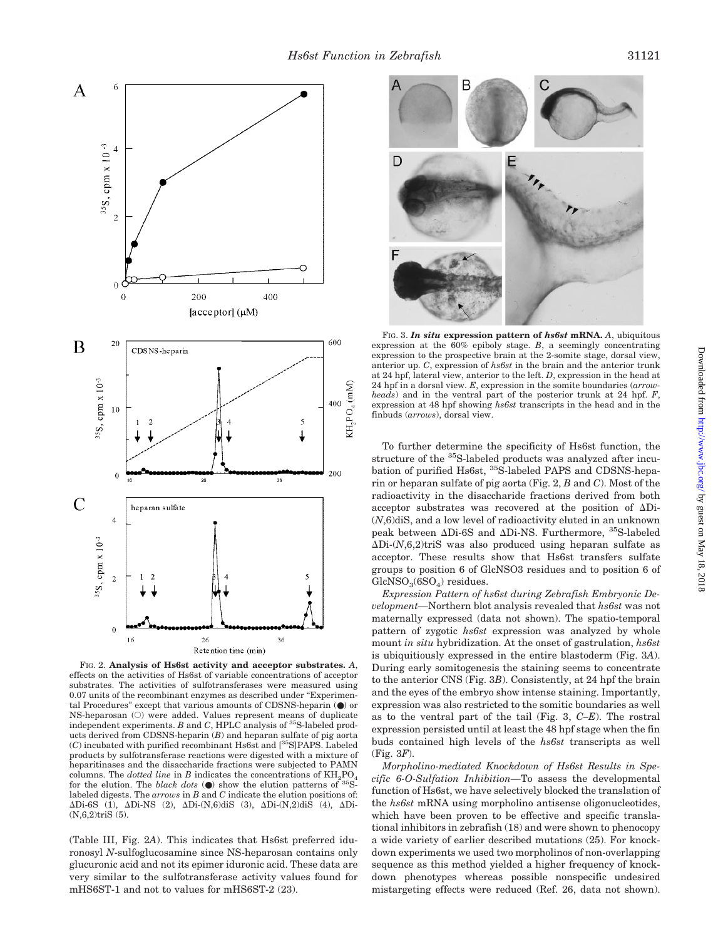

FIG. 2. **Analysis of Hs6st activity and acceptor substrates.** *A*, effects on the activities of Hs6st of variable concentrations of acceptor substrates. The activities of sulfotransferases were measured using 0.07 units of the recombinant enzymes as described under "Experimental Procedures" except that various amounts of CDSNS-heparin  $(\mathord{\bullet})$  or NS-heparosan (O) were added. Values represent means of duplicate independent experiments. *B* and *C*, HPLC analysis of <sup>35</sup>S-labeled products derived from CDSNS-heparin (*B*) and heparan sulfate of pig aorta (*C*) incubated with purified recombinant Hs6st and [35S]PAPS. Labeled products by sulfotransferase reactions were digested with a mixture of heparitinases and the disaccharide fractions were subjected to PAMN columns. The *dotted line* in *B* indicates the concentrations of  $\text{KH}_{2}\text{PO}_{4}$ for the elution. The *black dots*  $\Theta$  show the elution patterns of <sup>35</sup>Slabeled digests. The *arrows* in *B* and *C* indicate the elution positions of: Di-6S (1), Di-NS (2), Di-(N,6)diS (3), Di-(N,2)diS (4), Di- (N,6,2)triS (5).

(Table III, Fig. 2*A*). This indicates that Hs6st preferred iduronosyl *N*-sulfoglucosamine since NS-heparosan contains only glucuronic acid and not its epimer iduronic acid. These data are very similar to the sulfotransferase activity values found for mHS6ST-1 and not to values for mHS6ST-2 (23).



FIG. 3. *In situ* **expression pattern of** *hs6st* **mRNA.** *A*, ubiquitous expression at the 60% epiboly stage. *B*, a seemingly concentrating expression to the prospective brain at the 2-somite stage, dorsal view, anterior up. *C*, expression of *hs6st* in the brain and the anterior trunk at 24 hpf, lateral view, anterior to the left. *D*, expression in the head at 24 hpf in a dorsal view. *E*, expression in the somite boundaries (*arrowheads*) and in the ventral part of the posterior trunk at 24 hpf. *F*, expression at 48 hpf showing *hs6st* transcripts in the head and in the finbuds (*arrows*), dorsal view.

To further determine the specificity of Hs6st function, the structure of the 35S-labeled products was analyzed after incubation of purified Hs6st, 35S-labeled PAPS and CDSNS-heparin or heparan sulfate of pig aorta (Fig. 2, *B* and *C*). Most of the radioactivity in the disaccharide fractions derived from both acceptor substrates was recovered at the position of Di- (*N*,6)diS, and a low level of radioactivity eluted in an unknown peak between  $\Delta$ Di-6S and  $\Delta$ Di-NS. Furthermore, <sup>35</sup>S-labeled  $\Delta$ Di- $(N,6,2)$ triS was also produced using heparan sulfate as acceptor. These results show that Hs6st transfers sulfate groups to position 6 of GlcNSO3 residues and to position 6 of  $GlcNSO<sub>3</sub>(6SO<sub>4</sub>)$  residues.

*Expression Pattern of hs6st during Zebrafish Embryonic Development—*Northern blot analysis revealed that *hs6st* was not maternally expressed (data not shown). The spatio-temporal pattern of zygotic *hs6st* expression was analyzed by whole mount *in situ* hybridization. At the onset of gastrulation, *hs6st* is ubiquitiously expressed in the entire blastoderm (Fig. 3*A*). During early somitogenesis the staining seems to concentrate to the anterior CNS (Fig. 3*B*). Consistently, at 24 hpf the brain and the eyes of the embryo show intense staining. Importantly, expression was also restricted to the somitic boundaries as well as to the ventral part of the tail (Fig. 3, *C–E*). The rostral expression persisted until at least the 48 hpf stage when the fin buds contained high levels of the *hs6st* transcripts as well (Fig. 3*F*).

*Morpholino-mediated Knockdown of Hs6st Results in Specific 6-O-Sulfation Inhibition—*To assess the developmental function of Hs6st, we have selectively blocked the translation of the *hs6st* mRNA using morpholino antisense oligonucleotides, which have been proven to be effective and specific translational inhibitors in zebrafish (18) and were shown to phenocopy a wide variety of earlier described mutations (25). For knockdown experiments we used two morpholinos of non-overlapping sequence as this method yielded a higher frequency of knockdown phenotypes whereas possible nonspecific undesired mistargeting effects were reduced (Ref. 26, data not shown).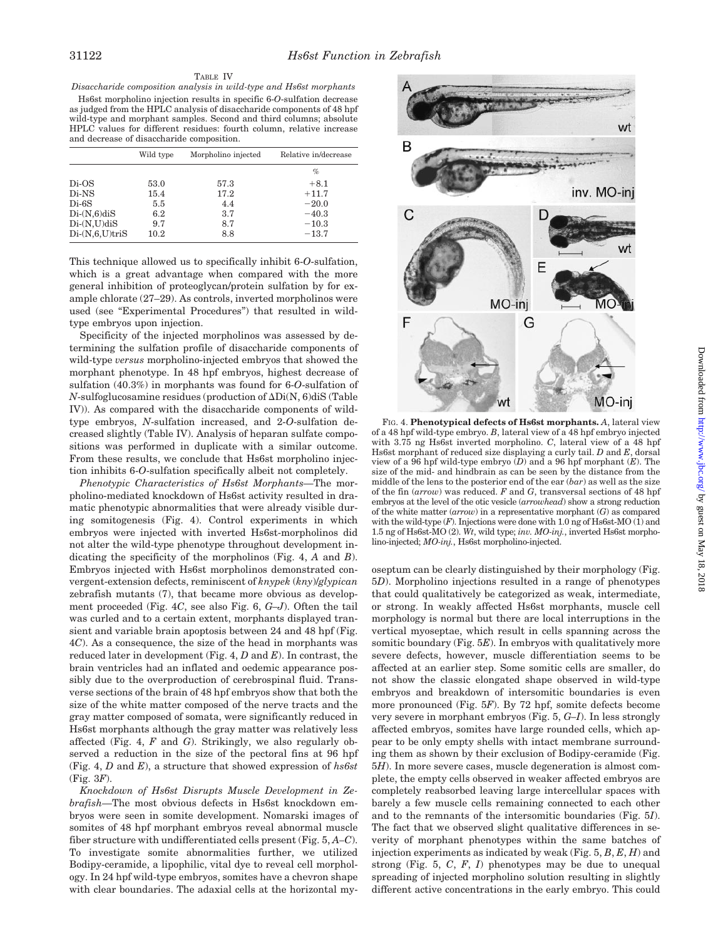*Disaccharide composition analysis in wild-type and Hs6st morphants*

Hs6st morpholino injection results in specific 6-*O*-sulfation decrease as judged from the HPLC analysis of disaccharide components of 48 hpf wild-type and morphant samples. Second and third columns; absolute HPLC values for different residues: fourth column, relative increase and decrease of disaccharide composition.

|                  | Wild type | Morpholino injected | Relative in/decrease |
|------------------|-----------|---------------------|----------------------|
|                  |           |                     | $\%$                 |
| $Di-OS$          | 53.0      | 57.3                | $+8.1$               |
| Di-NS            | 15.4      | 17.2                | $+11.7$              |
| $Di-6S$          | 5.5       | 4.4                 | $-20.0$              |
| $Di-(N,6)diS$    | 6.2       | 3.7                 | $-40.3$              |
| $Di-(N,U)diS$    | 9.7       | 8.7                 | $-10.3$              |
| $Di-(N,6,U)triS$ | 10.2      | 8.8                 | $-13.7$              |

This technique allowed us to specifically inhibit 6-*O*-sulfation, which is a great advantage when compared with the more general inhibition of proteoglycan/protein sulfation by for example chlorate (27–29). As controls, inverted morpholinos were used (see "Experimental Procedures") that resulted in wildtype embryos upon injection.

Specificity of the injected morpholinos was assessed by determining the sulfation profile of disaccharide components of wild-type *versus* morpholino-injected embryos that showed the morphant phenotype. In 48 hpf embryos, highest decrease of sulfation (40.3%) in morphants was found for 6-*O*-sulfation of  $N$ -sulfoglucosamine residues (production of  $\Delta \text{Di}(N, 6)$ diS (Table IV)). As compared with the disaccharide components of wildtype embryos, *N*-sulfation increased, and 2-*O*-sulfation decreased slightly (Table IV). Analysis of heparan sulfate compositions was performed in duplicate with a similar outcome. From these results, we conclude that Hs6st morpholino injection inhibits 6-*O*-sulfation specifically albeit not completely.

*Phenotypic Characteristics of Hs6st Morphants—*The morpholino-mediated knockdown of Hs6st activity resulted in dramatic phenotypic abnormalities that were already visible during somitogenesis (Fig. 4). Control experiments in which embryos were injected with inverted Hs6st-morpholinos did not alter the wild-type phenotype throughout development indicating the specificity of the morpholinos (Fig. 4, *A* and *B*). Embryos injected with Hs6st morpholinos demonstrated convergent-extension defects, reminiscent of *knypek* (*kny*)/*glypican* zebrafish mutants (7), that became more obvious as development proceeded (Fig. 4*C*, see also Fig. 6, *G–J*). Often the tail was curled and to a certain extent, morphants displayed transient and variable brain apoptosis between 24 and 48 hpf (Fig. 4*C*). As a consequence, the size of the head in morphants was reduced later in development (Fig. 4, *D* and *E*). In contrast, the brain ventricles had an inflated and oedemic appearance possibly due to the overproduction of cerebrospinal fluid. Transverse sections of the brain of 48 hpf embryos show that both the size of the white matter composed of the nerve tracts and the gray matter composed of somata, were significantly reduced in Hs6st morphants although the gray matter was relatively less affected (Fig. 4, *F* and *G*). Strikingly, we also regularly observed a reduction in the size of the pectoral fins at 96 hpf (Fig. 4, *D* and *E*), a structure that showed expression of *hs6st* (Fig. 3*F*).

*Knockdown of Hs6st Disrupts Muscle Development in Zebrafish—*The most obvious defects in Hs6st knockdown embryos were seen in somite development. Nomarski images of somites of 48 hpf morphant embryos reveal abnormal muscle fiber structure with undifferentiated cells present (Fig. 5, *A–C*). To investigate somite abnormalities further, we utilized Bodipy-ceramide, a lipophilic, vital dye to reveal cell morphology. In 24 hpf wild-type embryos, somites have a chevron shape with clear boundaries. The adaxial cells at the horizontal my-



FIG. 4. **Phenotypical defects of Hs6st morphants.** *A*, lateral view of a 48 hpf wild-type embryo. *B*, lateral view of a 48 hpf embryo injected with 3.75 ng Hs6st inverted morpholino. *C*, lateral view of a 48 hpf Hs6st morphant of reduced size displaying a curly tail. *D* and *E*, dorsal view of a 96 hpf wild-type embryo (*D*) and a 96 hpf morphant (*E*). The size of the mid- and hindbrain as can be seen by the distance from the middle of the lens to the posterior end of the ear (*bar*) as well as the size of the fin (*arrow*) was reduced. *F* and *G*, transversal sections of 48 hpf embryos at the level of the otic vesicle (*arrowhead*) show a strong reduction of the white matter (*arrow*) in a representative morphant (*G*) as compared with the wild-type  $(F)$ . Injections were done with 1.0 ng of Hs6st-MO  $(1)$  and 1.5 ng of Hs6st-MO (2). *Wt*, wild type; *inv. MO-inj.*, inverted Hs6st morpholino-injected; *MO-inj.*, Hs6st morpholino-injected.

oseptum can be clearly distinguished by their morphology (Fig. 5*D*). Morpholino injections resulted in a range of phenotypes that could qualitatively be categorized as weak, intermediate, or strong. In weakly affected Hs6st morphants, muscle cell morphology is normal but there are local interruptions in the vertical myoseptae, which result in cells spanning across the somitic boundary (Fig. 5*E*). In embryos with qualitatively more severe defects, however, muscle differentiation seems to be affected at an earlier step. Some somitic cells are smaller, do not show the classic elongated shape observed in wild-type embryos and breakdown of intersomitic boundaries is even more pronounced (Fig. 5*F*). By 72 hpf, somite defects become very severe in morphant embryos (Fig. 5, *G–I*). In less strongly affected embryos, somites have large rounded cells, which appear to be only empty shells with intact membrane surrounding them as shown by their exclusion of Bodipy-ceramide (Fig. 5*H*). In more severe cases, muscle degeneration is almost complete, the empty cells observed in weaker affected embryos are completely reabsorbed leaving large intercellular spaces with barely a few muscle cells remaining connected to each other and to the remnants of the intersomitic boundaries (Fig. 5*I*). The fact that we observed slight qualitative differences in severity of morphant phenotypes within the same batches of injection experiments as indicated by weak (Fig. 5, *B*, *E*, *H*) and strong (Fig. 5, *C*, *F*, *I*) phenotypes may be due to unequal spreading of injected morpholino solution resulting in slightly different active concentrations in the early embryo. This could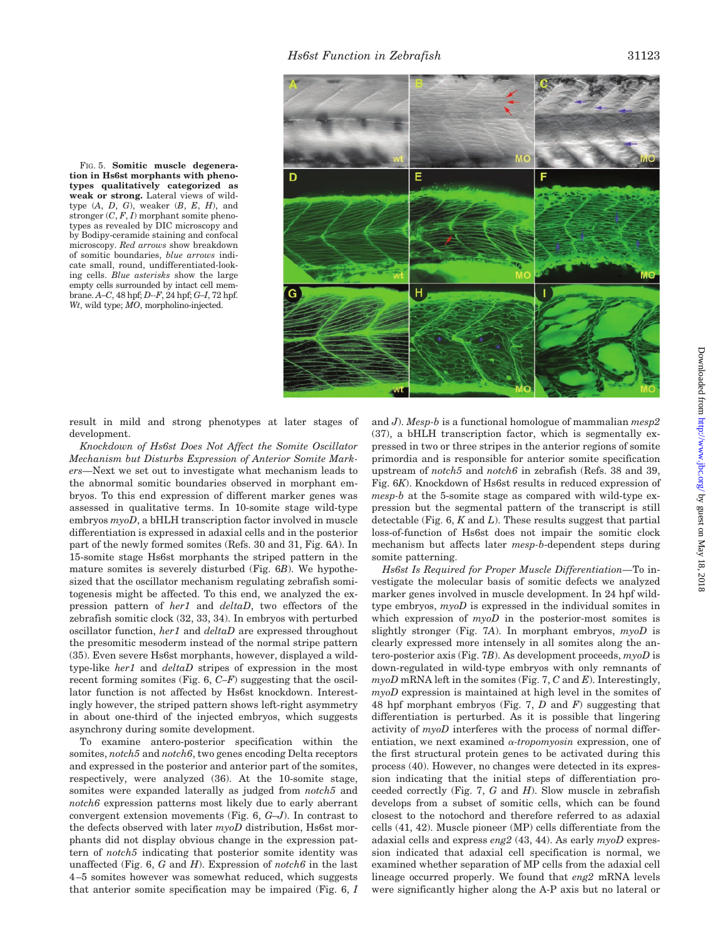FIG. 5. **Somitic muscle degeneration in Hs6st morphants with phenotypes qualitatively categorized as weak or strong.** Lateral views of wildtype (*A*, *D*, *G*), weaker (*B*, *E*, *H*), and stronger (*C*, *F*, *I*) morphant somite phenotypes as revealed by DIC microscopy and by Bodipy-ceramide staining and confocal microscopy. *Red arrows* show breakdown of somitic boundaries, *blue arrows* indicate small, round, undifferentiated-looking cells. *Blue asterisks* show the large empty cells surrounded by intact cell membrane. *A–C*, 48 hpf; *D--F*, 24 hpf; *G–I*, 72 hpf. *Wt*, wild type; *MO*, morpholino-injected.



result in mild and strong phenotypes at later stages of development.

*Knockdown of Hs6st Does Not Affect the Somite Oscillator Mechanism but Disturbs Expression of Anterior Somite Markers—*Next we set out to investigate what mechanism leads to the abnormal somitic boundaries observed in morphant embryos. To this end expression of different marker genes was assessed in qualitative terms. In 10-somite stage wild-type embryos *myoD*, a bHLH transcription factor involved in muscle differentiation is expressed in adaxial cells and in the posterior part of the newly formed somites (Refs. 30 and 31, Fig. 6*A*). In 15-somite stage Hs6st morphants the striped pattern in the mature somites is severely disturbed (Fig. 6*B*). We hypothesized that the oscillator mechanism regulating zebrafish somitogenesis might be affected. To this end, we analyzed the expression pattern of *her1* and *deltaD*, two effectors of the zebrafish somitic clock (32, 33, 34). In embryos with perturbed oscillator function, *her1* and *deltaD* are expressed throughout the presomitic mesoderm instead of the normal stripe pattern (35). Even severe Hs6st morphants, however, displayed a wildtype-like *her1* and *deltaD* stripes of expression in the most recent forming somites (Fig. 6, *C–F*) suggesting that the oscillator function is not affected by Hs6st knockdown. Interestingly however, the striped pattern shows left-right asymmetry in about one-third of the injected embryos, which suggests asynchrony during somite development.

To examine antero-posterior specification within the somites, *notch5* and *notch6*, two genes encoding Delta receptors and expressed in the posterior and anterior part of the somites, respectively, were analyzed (36). At the 10-somite stage, somites were expanded laterally as judged from *notch5* and *notch6* expression patterns most likely due to early aberrant convergent extension movements (Fig. 6, *G–J*). In contrast to the defects observed with later *myoD* distribution, Hs6st morphants did not display obvious change in the expression pattern of *notch5* indicating that posterior somite identity was unaffected (Fig. 6, *G* and *H*). Expression of *notch6* in the last 4–5 somites however was somewhat reduced, which suggests that anterior somite specification may be impaired (Fig. 6, *I*

and *J*). *Mesp-b* is a functional homologue of mammalian *mesp2* (37), a bHLH transcription factor, which is segmentally expressed in two or three stripes in the anterior regions of somite primordia and is responsible for anterior somite specification upstream of *notch5* and *notch6* in zebrafish (Refs. 38 and 39, Fig. 6*K*). Knockdown of Hs6st results in reduced expression of *mesp-b* at the 5-somite stage as compared with wild-type expression but the segmental pattern of the transcript is still detectable (Fig. 6, *K* and *L*). These results suggest that partial loss-of-function of Hs6st does not impair the somitic clock mechanism but affects later *mesp-b*-dependent steps during somite patterning.

*Hs6st Is Required for Proper Muscle Differentiation—*To investigate the molecular basis of somitic defects we analyzed marker genes involved in muscle development. In 24 hpf wildtype embryos, *myoD* is expressed in the individual somites in which expression of  $m$ *voD* in the posterior-most somites is slightly stronger (Fig. 7*A*). In morphant embryos, *myoD* is clearly expressed more intensely in all somites along the antero-posterior axis (Fig. 7*B*). As development proceeds, *myoD* is down-regulated in wild-type embryos with only remnants of *myoD* mRNA left in the somites (Fig. 7, *C* and *E*). Interestingly, *myoD* expression is maintained at high level in the somites of 48 hpf morphant embryos (Fig. 7, *D* and *F*) suggesting that differentiation is perturbed. As it is possible that lingering activity of *myoD* interferes with the process of normal differentiation, we next examined  $\alpha$ -tropomyosin expression, one of the first structural protein genes to be activated during this process (40). However, no changes were detected in its expression indicating that the initial steps of differentiation proceeded correctly (Fig. 7, *G* and *H*). Slow muscle in zebrafish develops from a subset of somitic cells, which can be found closest to the notochord and therefore referred to as adaxial cells (41, 42). Muscle pioneer (MP) cells differentiate from the adaxial cells and express *eng2* (43, 44). As early *myoD* expression indicated that adaxial cell specification is normal, we examined whether separation of MP cells from the adaxial cell lineage occurred properly. We found that *eng2* mRNA levels were significantly higher along the A-P axis but no lateral or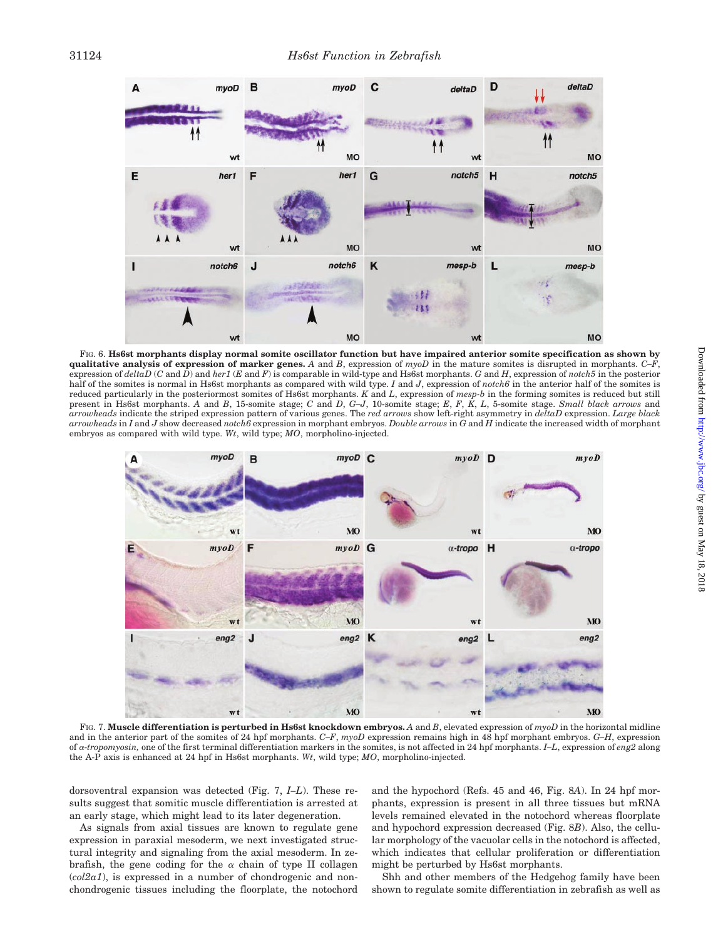

FIG. 6. **Hs6st morphants display normal somite oscillator function but have impaired anterior somite specification as shown by qualitative analysis of expression of marker genes.** *A* and *B*, expression of *myoD* in the mature somites is disrupted in morphants. *C–F*, expression of *deltaD* (*C* and *D*) and *her1* (*E* and *F*) is comparable in wild-type and Hs6st morphants. *G* and *H*, expression of *notch5* in the posterior half of the somites is normal in Hs6st morphants as compared with wild type. *I* and *J*, expression of *notch6* in the anterior half of the somites is reduced particularly in the posteriormost somites of Hs6st morphants. *K* and *L*, expression of *mesp-b* in the forming somites is reduced but still present in Hs6st morphants. *A* and *B*, 15-somite stage; *C* and *D*, *G–J*, 10-somite stage; *E*, *F*, *K*, *L*, 5-somite stage. *Small black arrows* and *arrowheads* indicate the striped expression pattern of various genes. The *red arrows* show left-right asymmetry in *deltaD* expression. *Large black arrowheads* in *I* and *J* show decreased *notch6* expression in morphant embryos. *Double arrows* in *G* and *H* indicate the increased width of morphant embryos as compared with wild type. *Wt*, wild type; *MO*, morpholino-injected.



FIG. 7. **Muscle differentiation is perturbed in Hs6st knockdown embryos.** *A* and *B*, elevated expression of *myoD* in the horizontal midline and in the anterior part of the somites of 24 hpf morphants. *C–F*, *myoD* expression remains high in 48 hpf morphant embryos. *G–H*, expression of -*tropomyosin,* one of the first terminal differentiation markers in the somites, is not affected in 24 hpf morphants. *I–L*, expression of *eng2* along the A-P axis is enhanced at 24 hpf in Hs6st morphants. *Wt*, wild type; *MO*, morpholino-injected.

dorsoventral expansion was detected (Fig. 7, *I–L*). These results suggest that somitic muscle differentiation is arrested at an early stage, which might lead to its later degeneration.

As signals from axial tissues are known to regulate gene expression in paraxial mesoderm, we next investigated structural integrity and signaling from the axial mesoderm. In zebrafish, the gene coding for the  $\alpha$  chain of type II collagen  $(col2a1)$ , is expressed in a number of chondrogenic and nonchondrogenic tissues including the floorplate, the notochord

and the hypochord (Refs. 45 and 46, Fig. 8*A*). In 24 hpf morphants, expression is present in all three tissues but mRNA levels remained elevated in the notochord whereas floorplate and hypochord expression decreased (Fig. 8*B*). Also, the cellular morphology of the vacuolar cells in the notochord is affected, which indicates that cellular proliferation or differentiation might be perturbed by Hs6st morphants.

Shh and other members of the Hedgehog family have been shown to regulate somite differentiation in zebrafish as well as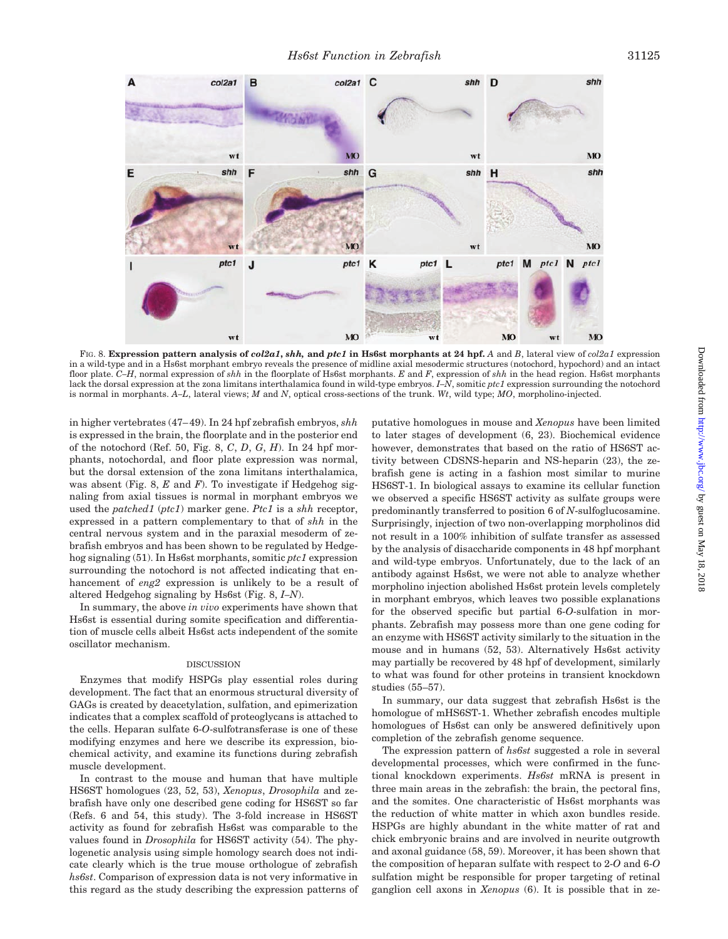

FIG. 8. **Expression pattern analysis of** *col2a1***,** *shh,* **and** *ptc1* **in Hs6st morphants at 24 hpf.** *A* and *B*, lateral view of *col2a1* expression in a wild-type and in a Hs6st morphant embryo reveals the presence of midline axial mesodermic structures (notochord, hypochord) and an intact floor plate. *C–H*, normal expression of *shh* in the floorplate of Hs6st morphants. *E* and *F*, expression of *shh* in the head region. Hs6st morphants lack the dorsal expression at the zona limitans interthalamica found in wild-type embryos. *I–N*, somitic *ptc1* expression surrounding the notochord is normal in morphants. *A–L*, lateral views; *M* and *N*, optical cross-sections of the trunk. *Wt*, wild type; *MO*, morpholino-injected.

in higher vertebrates (47–49). In 24 hpf zebrafish embryos, *shh* is expressed in the brain, the floorplate and in the posterior end of the notochord (Ref. 50, Fig. 8, *C*, *D*, *G*, *H*). In 24 hpf morphants, notochordal, and floor plate expression was normal, but the dorsal extension of the zona limitans interthalamica, was absent (Fig. 8, *E* and *F*). To investigate if Hedgehog signaling from axial tissues is normal in morphant embryos we used the *patched1* (*ptc1*) marker gene. *Ptc1* is a *shh* receptor, expressed in a pattern complementary to that of *shh* in the central nervous system and in the paraxial mesoderm of zebrafish embryos and has been shown to be regulated by Hedgehog signaling (51). In Hs6st morphants, somitic *ptc1* expression surrounding the notochord is not affected indicating that enhancement of *eng2* expression is unlikely to be a result of altered Hedgehog signaling by Hs6st (Fig. 8, *I–N*).

In summary, the above *in vivo* experiments have shown that Hs6st is essential during somite specification and differentiation of muscle cells albeit Hs6st acts independent of the somite oscillator mechanism.

### DISCUSSION

Enzymes that modify HSPGs play essential roles during development. The fact that an enormous structural diversity of GAGs is created by deacetylation, sulfation, and epimerization indicates that a complex scaffold of proteoglycans is attached to the cells. Heparan sulfate 6-*O*-sulfotransferase is one of these modifying enzymes and here we describe its expression, biochemical activity, and examine its functions during zebrafish muscle development.

In contrast to the mouse and human that have multiple HS6ST homologues (23, 52, 53), *Xenopus*, *Drosophila* and zebrafish have only one described gene coding for HS6ST so far (Refs. 6 and 54, this study). The 3-fold increase in HS6ST activity as found for zebrafish Hs6st was comparable to the values found in *Drosophila* for HS6ST activity (54). The phylogenetic analysis using simple homology search does not indicate clearly which is the true mouse orthologue of zebrafish *hs6st*. Comparison of expression data is not very informative in this regard as the study describing the expression patterns of putative homologues in mouse and *Xenopus* have been limited to later stages of development (6, 23). Biochemical evidence however, demonstrates that based on the ratio of HS6ST activity between CDSNS-heparin and NS-heparin (23), the zebrafish gene is acting in a fashion most similar to murine HS6ST-1. In biological assays to examine its cellular function we observed a specific HS6ST activity as sulfate groups were predominantly transferred to position 6 of *N*-sulfoglucosamine. Surprisingly, injection of two non-overlapping morpholinos did not result in a 100% inhibition of sulfate transfer as assessed by the analysis of disaccharide components in 48 hpf morphant and wild-type embryos. Unfortunately, due to the lack of an antibody against Hs6st, we were not able to analyze whether morpholino injection abolished Hs6st protein levels completely in morphant embryos, which leaves two possible explanations for the observed specific but partial 6-*O*-sulfation in morphants. Zebrafish may possess more than one gene coding for an enzyme with HS6ST activity similarly to the situation in the mouse and in humans (52, 53). Alternatively Hs6st activity may partially be recovered by 48 hpf of development, similarly to what was found for other proteins in transient knockdown studies (55–57).

In summary, our data suggest that zebrafish Hs6st is the homologue of mHS6ST-1. Whether zebrafish encodes multiple homologues of Hs6st can only be answered definitively upon completion of the zebrafish genome sequence.

The expression pattern of *hs6st* suggested a role in several developmental processes, which were confirmed in the functional knockdown experiments. *Hs6st* mRNA is present in three main areas in the zebrafish: the brain, the pectoral fins, and the somites. One characteristic of Hs6st morphants was the reduction of white matter in which axon bundles reside. HSPGs are highly abundant in the white matter of rat and chick embryonic brains and are involved in neurite outgrowth and axonal guidance (58, 59). Moreover, it has been shown that the composition of heparan sulfate with respect to 2-*O* and 6-*O* sulfation might be responsible for proper targeting of retinal ganglion cell axons in *Xenopus* (6). It is possible that in ze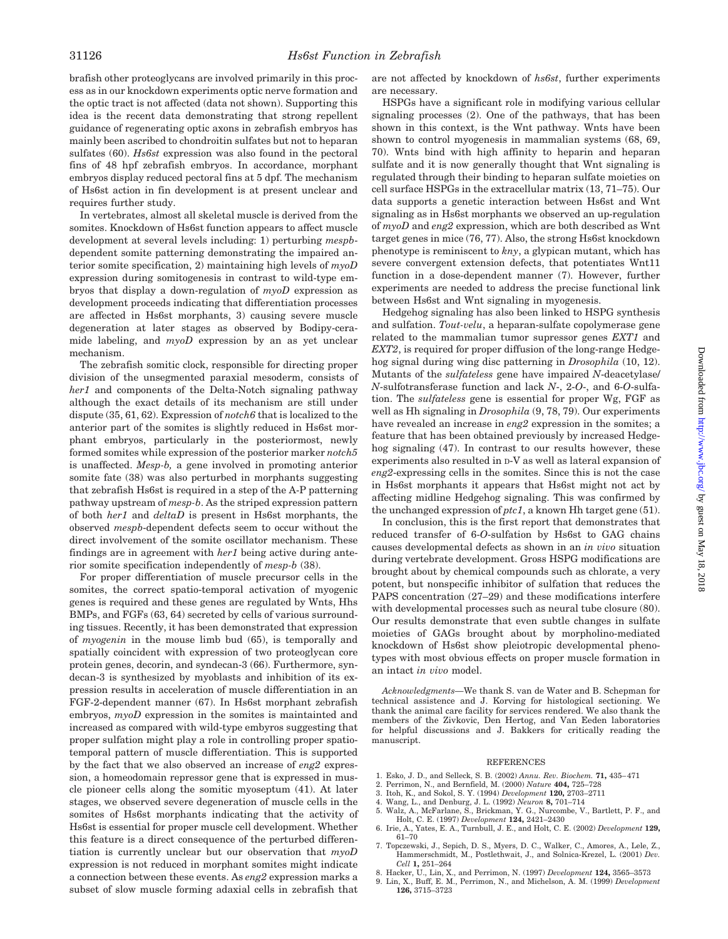brafish other proteoglycans are involved primarily in this process as in our knockdown experiments optic nerve formation and the optic tract is not affected (data not shown). Supporting this idea is the recent data demonstrating that strong repellent guidance of regenerating optic axons in zebrafish embryos has mainly been ascribed to chondroitin sulfates but not to heparan sulfates (60). *Hs6st* expression was also found in the pectoral fins of 48 hpf zebrafish embryos. In accordance, morphant embryos display reduced pectoral fins at 5 dpf. The mechanism of Hs6st action in fin development is at present unclear and requires further study.

In vertebrates, almost all skeletal muscle is derived from the somites. Knockdown of Hs6st function appears to affect muscle development at several levels including: 1) perturbing *mespb*dependent somite patterning demonstrating the impaired anterior somite specification, 2) maintaining high levels of *myoD* expression during somitogenesis in contrast to wild-type embryos that display a down-regulation of *myoD* expression as development proceeds indicating that differentiation processes are affected in Hs6st morphants, 3) causing severe muscle degeneration at later stages as observed by Bodipy-ceramide labeling, and *myoD* expression by an as yet unclear mechanism.

The zebrafish somitic clock, responsible for directing proper division of the unsegmented paraxial mesoderm, consists of *her1* and components of the Delta-Notch signaling pathway although the exact details of its mechanism are still under dispute (35, 61, 62). Expression of *notch6* that is localized to the anterior part of the somites is slightly reduced in Hs6st morphant embryos, particularly in the posteriormost, newly formed somites while expression of the posterior marker *notch5* is unaffected. *Mesp-b,* a gene involved in promoting anterior somite fate (38) was also perturbed in morphants suggesting that zebrafish Hs6st is required in a step of the A-P patterning pathway upstream of *mesp-b*. As the striped expression pattern of both *her1* and *deltaD* is present in Hs6st morphants, the observed *mespb*-dependent defects seem to occur without the direct involvement of the somite oscillator mechanism. These findings are in agreement with *her1* being active during anterior somite specification independently of *mesp-b* (38).

For proper differentiation of muscle precursor cells in the somites, the correct spatio-temporal activation of myogenic genes is required and these genes are regulated by Wnts, Hhs BMPs, and FGFs (63, 64) secreted by cells of various surrounding tissues. Recently, it has been demonstrated that expression of *myogenin* in the mouse limb bud (65), is temporally and spatially coincident with expression of two proteoglycan core protein genes, decorin, and syndecan-3 (66). Furthermore, syndecan-3 is synthesized by myoblasts and inhibition of its expression results in acceleration of muscle differentiation in an FGF-2-dependent manner (67). In Hs6st morphant zebrafish embryos,  $myoD$  expression in the somites is maintainted and increased as compared with wild-type embyros suggesting that proper sulfation might play a role in controlling proper spatiotemporal pattern of muscle differentiation. This is supported by the fact that we also observed an increase of *eng2* expression, a homeodomain repressor gene that is expressed in muscle pioneer cells along the somitic myoseptum (41). At later stages, we observed severe degeneration of muscle cells in the somites of Hs6st morphants indicating that the activity of Hs6st is essential for proper muscle cell development. Whether this feature is a direct consequence of the perturbed differentiation is currently unclear but our observation that *myoD* expression is not reduced in morphant somites might indicate a connection between these events. As *eng2* expression marks a subset of slow muscle forming adaxial cells in zebrafish that are not affected by knockdown of *hs6st*, further experiments are necessary.

HSPGs have a significant role in modifying various cellular signaling processes (2). One of the pathways, that has been shown in this context, is the Wnt pathway. Wnts have been shown to control myogenesis in mammalian systems (68, 69, 70). Wnts bind with high affinity to heparin and heparan sulfate and it is now generally thought that Wnt signaling is regulated through their binding to heparan sulfate moieties on cell surface HSPGs in the extracellular matrix (13, 71–75). Our data supports a genetic interaction between Hs6st and Wnt signaling as in Hs6st morphants we observed an up-regulation of *myoD* and *eng2* expression, which are both described as Wnt target genes in mice (76, 77). Also, the strong Hs6st knockdown phenotype is reminiscent to *kny*, a glypican mutant, which has severe convergent extension defects, that potentiates Wnt11 function in a dose-dependent manner (7). However, further experiments are needed to address the precise functional link between Hs6st and Wnt signaling in myogenesis.

Hedgehog signaling has also been linked to HSPG synthesis and sulfation. *Tout-velu*, a heparan-sulfate copolymerase gene related to the mammalian tumor supressor genes *EXT1* and *EXT2*, is required for proper diffusion of the long-range Hedgehog signal during wing disc patterning in *Drosophila* (10, 12). Mutants of the *sulfateless* gene have impaired *N*-deacetylase/ *N*-sulfotransferase function and lack *N*-, 2-*O*-, and 6-*O*-sulfation. The *sulfateless* gene is essential for proper Wg, FGF as well as Hh signaling in *Drosophila* (9, 78, 79). Our experiments have revealed an increase in *eng2* expression in the somites; a feature that has been obtained previously by increased Hedgehog signaling (47). In contrast to our results however, these experiments also resulted in D-V as well as lateral expansion of *eng2*-expressing cells in the somites. Since this is not the case in Hs6st morphants it appears that Hs6st might not act by affecting midline Hedgehog signaling. This was confirmed by the unchanged expression of *ptc1*, a known Hh target gene (51).

In conclusion, this is the first report that demonstrates that reduced transfer of 6-*O*-sulfation by Hs6st to GAG chains causes developmental defects as shown in an *in vivo* situation during vertebrate development. Gross HSPG modifications are brought about by chemical compounds such as chlorate, a very potent, but nonspecific inhibitor of sulfation that reduces the PAPS concentration (27–29) and these modifications interfere with developmental processes such as neural tube closure (80). Our results demonstrate that even subtle changes in sulfate moieties of GAGs brought about by morpholino-mediated knockdown of Hs6st show pleiotropic developmental phenotypes with most obvious effects on proper muscle formation in an intact *in vivo* model.

*Acknowledgments—*We thank S. van de Water and B. Schepman for technical assistence and J. Korving for histological sectioning. We thank the animal care facility for services rendered. We also thank the members of the Zivkovic, Den Hertog, and Van Eeden laboratories for helpful discussions and J. Bakkers for critically reading the manuscript.

#### **REFERENCES**

- 1. Esko, J. D., and Selleck, S. B. (2002) *Annu. Rev. Biochem.* **71,** 435–471
- 2. Perrimon, N., and Bernfield, M. (2000) *Nature* **404,** 725–728
- 
- 3. Itoh, K., and Sokol, S. Y. (1994) *Development* **120,** 2703–2711 4. Wang, L., and Denburg, J. L. (1992) *Neuron* **8,** 701–714
- 5. Walz, A., McFarlane, S., Brickman, Y. G., Nurcombe, V., Bartlett, P. F., and Holt, C. E. (1997) *Development* **124,** 2421–2430
- 6. Irie, A., Yates, E. A., Turnbull, J. E., and Holt, C. E. (2002) *Development* **129,** 61–70
- 7. Topczewski, J., Sepich, D. S., Myers, D. C., Walker, C., Amores, A., Lele, Z., Hammerschmidt, M., Postlethwait, J., and Solnica-Krezel, L. (2001) *Dev. Cell* **1,** 251–264
- 8. Hacker, U., Lin, X., and Perrimon, N. (1997) *Development* **124,** 3565–3573
- 9. Lin, X., Buff, E. M., Perrimon, N., and Michelson, A. M. (1999) *Development* **126,** 3715–3723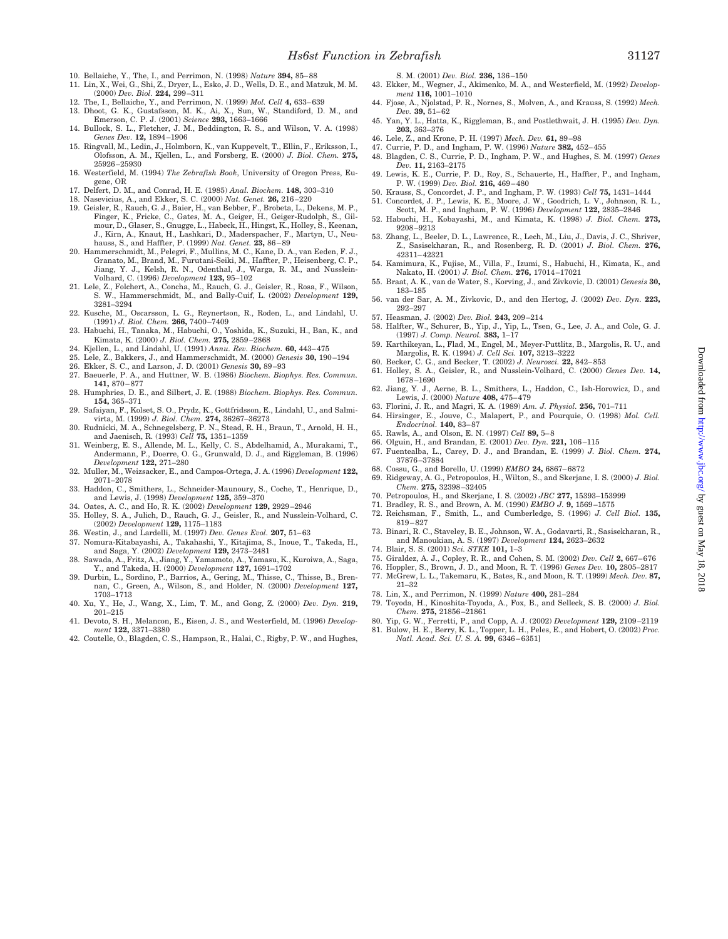- 10. Bellaiche, Y., The, I., and Perrimon, N. (1998) *Nature* **394,** 85–88
- 11. Lin, X., Wei, G., Shi, Z., Dryer, L., Esko, J. D., Wells, D. E., and Matzuk, M. M. (2000) *Dev. Biol.* **224,** 299–311
- 12. The, I., Bellaiche, Y., and Perrimon, N. (1999) *Mol. Cell* **4,** 633–639
- 13. Dhoot, G. K., Gustafsson, M. K., Ai, X., Sun, W., Standiford, D. M., and Emerson, C. P. J. (2001) *Science* **293,** 1663–1666
- 14. Bullock, S. L., Fletcher, J. M., Beddington, R. S., and Wilson, V. A. (1998) *Genes Dev.* **12,** 1894–1906
- 15. Ringvall, M., Ledin, J., Holmborn, K., van Kuppevelt, T., Ellin, F., Eriksson, I., Olofsson, A. M., Kjellen, L., and Forsberg, E. (2000) *J. Biol. Chem.* **275,** 25926–25930
- 16. Westerfield, M. (1994) *The Zebrafish Book*, University of Oregon Press, Eugene, OR
- 17. Delfert, D. M., and Conrad, H. E. (1985) *Anal. Biochem.* **148,** 303–310
- 18. Nasevicius, A., and Ekker, S. C. (2000) *Nat. Genet.* **26,** 216–220
- 19. Geisler, R., Rauch, G. J., Baier, H., van Bebber, F., Brobeta, L., Dekens, M. P., Finger, K., Fricke, C., Gates, M. A., Geiger, H., Geiger-Rudolph, S., Gilmour, D., Glaser, S., Gnugge, L., Habeck, H., Hingst, K., Holley, S., Keenan, J., Kirn, A., Knaut, H., Lashkari, D., Maderspacher, F., Martyn, U., Neuhauss, S., and Haffter, P. (1999) *Nat. Genet.* **23,** 86–89
- 20. Hammerschmidt, M., Pelegri, F., Mullins, M. C., Kane, D. A., van Eeden, F. J., Granato, M., Brand, M., Furutani-Seiki, M., Haffter, P., Heisenberg, C. P., Jiang, Y. J., Kelsh, R. N., Odenthal, J., Warga, R. M., and Nusslein-Volhard, C. (1996) *Development* **123,** 95–102
- 21. Lele, Z., Folchert, A., Concha, M., Rauch, G. J., Geisler, R., Rosa, F., Wilson, S. W., Hammerschmidt, M., and Bally-Cuif, L. (2002) *Development* **129,** 3281–3294
- 22. Kusche, M., Oscarsson, L. G., Reynertson, R., Roden, L., and Lindahl, U. (1991) *J. Biol. Chem.* **266,** 7400–7409
- 23. Habuchi, H., Tanaka, M., Habuchi, O., Yoshida, K., Suzuki, H., Ban, K., and Kimata, K. (2000) *J. Biol. Chem.* **275,** 2859–2868
- 24. Kjellen, L., and Lindahl, U. (1991) *Annu. Rev. Biochem.* **60,** 443–475
- 25. Lele, Z., Bakkers, J., and Hammerschmidt, M. (2000) *Genesis* **30,** 190–194
- 26. Ekker, S. C., and Larson, J. D. (2001) *Genesis* **30,** 89–93
- 27. Baeuerle, P. A., and Huttner, W. B. (1986) *Biochem. Biophys. Res. Commun.* **141,** 870–877
- 28. Humphries, D. E., and Silbert, J. E. (1988) *Biochem. Biophys. Res. Commun.* **154,** 365–371
- 29. Safaiyan, F., Kolset, S. O., Prydz, K., Gottfridsson, E., Lindahl, U., and Salmi-virta, M. (1999) *J. Biol. Chem.* **274,** 36267–36273 30. Rudnicki, M. A., Schnegelsberg, P. N., Stead, R. H., Braun, T., Arnold, H. H.,
- and Jaenisch, R. (1993) *Cell* **75,** 1351–1359
- 31. Weinberg, E. S., Allende, M. L., Kelly, C. S., Abdelhamid, A., Murakami, T., Andermann, P., Doerre, O. G., Grunwald, D. J., and Riggleman, B. (1996) *Development* **122,** 271–280
- 32. Muller, M., Weizsacker, E., and Campos-Ortega, J. A. (1996) *Development* **122,** 2071–2078
- 33. Haddon, C., Smithers, L., Schneider-Maunoury, S., Coche, T., Henrique, D., and Lewis, J. (1998) *Development* **125,** 359–370
- 34. Oates, A. C., and Ho, R. K. (2002) *Development* **129,** 2929–2946
- 35. Holley, S. A., Julich, D., Rauch, G. J., Geisler, R., and Nusslein-Volhard, C. (2002) *Development* **129,** 1175–1183
- 36. Westin, J., and Lardelli, M. (1997) *Dev. Genes Evol.* **207,** 51–63
- 37. Nomura-Kitabayashi, A., Takahashi, Y., Kitajima, S., Inoue, T., Takeda, H., and Saga, Y. (2002) *Development* **129,** 2473–2481 38. Sawada, A., Fritz, A., Jiang, Y., Yamamoto, A., Yamasu, K., Kuroiwa, A., Saga,
- Y., and Takeda, H. (2000) *Development* **127,** 1691–1702
- 39. Durbin, L., Sordino, P., Barrios, A., Gering, M., Thisse, C., Thisse, B., Brennan, C., Green, A., Wilson, S., and Holder, N. (2000) *Development* **127,** 1703–1713
- 40. Xu, Y., He, J., Wang, X., Lim, T. M., and Gong, Z. (2000) *Dev. Dyn.* **219,** 201–215
- 41. Devoto, S. H., Melancon, E., Eisen, J. S., and Westerfield, M. (1996) *Development* **122,** 3371–3380
- 42. Coutelle, O., Blagden, C. S., Hampson, R., Halai, C., Rigby, P. W., and Hughes,
- S. M. (2001) *Dev. Biol.* **236,** 136–150
- 43. Ekker, M., Wegner, J., Akimenko, M. A., and Westerfield, M. (1992) *Development* **116,** 1001–1010
- 44. Fjose, A., Njolstad, P. R., Nornes, S., Molven, A., and Krauss, S. (1992) *Mech. Dev.* **39,** 51–62 45. Yan, Y. L., Hatta, K., Riggleman, B., and Postlethwait, J. H. (1995) *Dev. Dyn.*
- **203,** 363–376
- 46. Lele, Z., and Krone, P. H. (1997) *Mech. Dev.* **61,** 89–98
- 47. Currie, P. D., and Ingham, P. W. (1996) *Nature* **382,** 452–455
- 48. Blagden, C. S., Currie, P. D., Ingham, P. W., and Hughes, S. M. (1997) *Genes Dev.* **11,** 2163–2175
- 49. Lewis, K. E., Currie, P. D., Roy, S., Schauerte, H., Haffter, P., and Ingham, P. W. (1999) *Dev. Biol.* **216,** 469–480
- 
- 50. Krauss, S., Concordet, J. P., and Ingham, P. W. (1993) Cell **75,** 1431–1444<br>51. Concordet, J. P., Lewis, K. E., Moore, J. W., Goodrich, L. V., Johnson, R. L.,<br>Scott, M. P., and Ingham, P. W. (1996) Development **122,** 2
- 52. Habuchi, H., Kobayashi, M., and Kimata, K. (1998) *J. Biol. Chem.* **273,** 9208–9213
- 53. Zhang, L., Beeler, D. L., Lawrence, R., Lech, M., Liu, J., Davis, J. C., Shriver, Z., Sasisekharan, R., and Rosenberg, R. D. (2001) *J. Biol. Chem.* **276,** 42311–42321
- 54. Kamimura, K., Fujise, M., Villa, F., Izumi, S., Habuchi, H., Kimata, K., and Nakato, H. (2001) *J. Biol. Chem.* **276,** 17014–17021
- 55. Braat, A. K., van de Water, S., Korving, J., and Zivkovic, D. (2001) *Genesis* **30,** 183–185
- 56. van der Sar, A. M., Zivkovic, D., and den Hertog, J. (2002) *Dev. Dyn.* **223,** 292–297
- 57. Heasman, J. (2002) *Dev. Biol.* **243,** 209–214
- 58. Halfter, W., Schurer, B., Yip, J., Yip, L., Tsen, G., Lee, J. A., and Cole, G. J. (1997) *J. Comp. Neurol.* **383,** 1–17
- 59. Karthikeyan, L., Flad, M., Engel, M., Meyer-Puttlitz, B., Margolis, R. U., and Margolis, R. K. (1994) *J. Cell Sci.* **107,** 3213–3222
- 60. Becker, C. G., and Becker, T. (2002) *J. Neurosci.* **22,** 842–853
- 61. Holley, S. A., Geisler, R., and Nusslein-Volhard, C. (2000) *Genes Dev.* **14,** 1678–1690
- 62. Jiang, Y. J., Aerne, B. L., Smithers, L., Haddon, C., Ish-Horowicz, D., and Lewis, J. (2000) *Nature* **408,** 475–479
- 63. Florini, J. R., and Magri, K. A. (1989) *Am. J. Physiol.* **256,** 701–711 64. Hirsinger, E., Jouve, C., Malapert, P., and Pourquie, O. (1998) *Mol. Cell. Endocrinol.* **140,** 83–87
- 65. Rawls, A., and Olson, E. N. (1997) *Cell* **89,** 5–8
- 66. Olguin, H., and Brandan, E. (2001) *Dev. Dyn.* **221,** 106–115
- 67. Fuentealba, L., Carey, D. J., and Brandan, E. (1999) *J. Biol. Chem.* **274,** 37876–37884
- 68. Cossu, G., and Borello, U. (1999) *EMBO* **24,** 6867–6872
- 69. Ridgeway, A. G., Petropoulos, H., Wilton, S., and Skerjanc, I. S. (2000) *J. Biol. Chem.* **275,** 32398–32405
- 70. Petropoulos, H., and Skerjanc, I. S. (2002) *JBC* **277,** 15393–153999
- 71. Bradley, R. S., and Brown, A. M. (1990) *EMBO J.* **9,** 1569–1575
- 72. Reichsman, F., Smith, L., and Cumberledge, S. (1996) *J. Cell Biol.* **135,** 819–827
- 73. Binari, R. C., Staveley, B. E., Johnson, W. A., Godavarti, R., Sasisekharan, R., and Manoukian, A. S. (1997) *Development* **124,** 2623–2632
- 74. Blair, S. S. (2001) *Sci. STKE* **101,** 1–3
- 75. Giraldez, A. J., Copley, R. R., and Cohen, S. M. (2002) *Dev. Cell* **2,** 667–676
- 76. Hoppler, S., Brown, J. D., and Moon, R. T. (1996) *Genes Dev.* **10,** 2805–2817
- 77. McGrew, L. L., Takemaru, K., Bates, R., and Moon, R. T. (1999) *Mech. Dev.* **87,** 21–32
- 78. Lin, X., and Perrimon, N. (1999) *Nature* **400,** 281–284
- 79. Toyoda, H., Kinoshita-Toyoda, A., Fox, B., and Selleck, S. B. (2000) *J. Biol. Chem.* **275,** 21856–21861
- 80. Yip, G. W., Ferretti, P., and Copp, A. J. (2002) *Development* **129,** 2109–2119<br>81. Bulow, H. E., Berry, K. L., Topper, L. H., Peles, E., and Hobert, O. (2002) Proc.<br>*Natl. Acad. Sci. U. S. A.* **99,** 6346–6351]